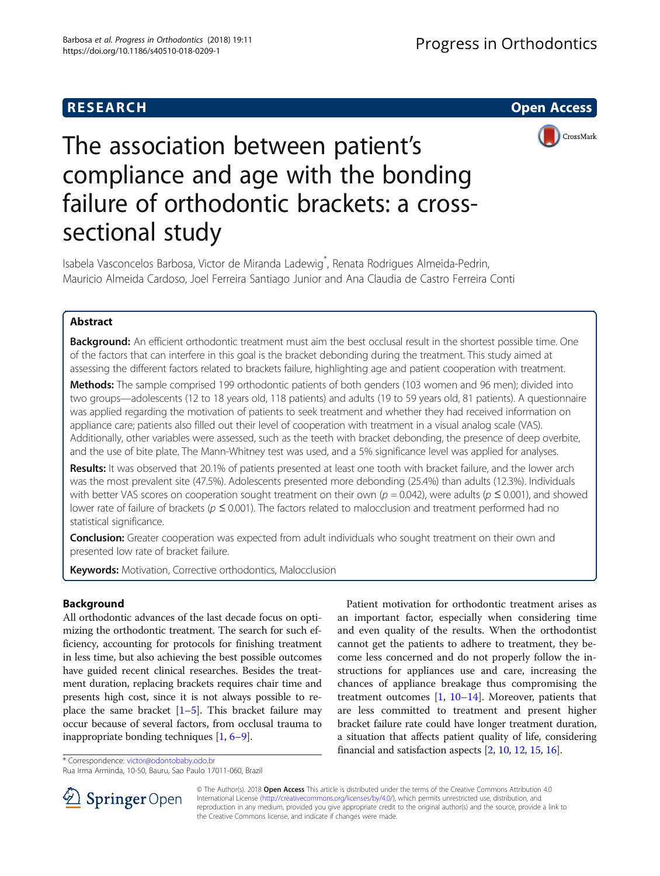# **RESEARCH CHILD CONTROL** CONTROL CONTROL CONTROL CONTROL CONTROL CONTROL CONTROL CONTROL CONTROL CONTROL CONTROL



# The association between patient's compliance and age with the bonding failure of orthodontic brackets: a crosssectional study

Isabela Vasconcelos Barbosa, Victor de Miranda Ladewig<sup>\*</sup>, Renata Rodrigues Almeida-Pedrin, Mauricio Almeida Cardoso, Joel Ferreira Santiago Junior and Ana Claudia de Castro Ferreira Conti

# Abstract

Background: An efficient orthodontic treatment must aim the best occlusal result in the shortest possible time. One of the factors that can interfere in this goal is the bracket debonding during the treatment. This study aimed at assessing the different factors related to brackets failure, highlighting age and patient cooperation with treatment.

Methods: The sample comprised 199 orthodontic patients of both genders (103 women and 96 men); divided into two groups—adolescents (12 to 18 years old, 118 patients) and adults (19 to 59 years old, 81 patients). A questionnaire was applied regarding the motivation of patients to seek treatment and whether they had received information on appliance care; patients also filled out their level of cooperation with treatment in a visual analog scale (VAS). Additionally, other variables were assessed, such as the teeth with bracket debonding, the presence of deep overbite, and the use of bite plate. The Mann-Whitney test was used, and a 5% significance level was applied for analyses.

Results: It was observed that 20.1% of patients presented at least one tooth with bracket failure, and the lower arch was the most prevalent site (47.5%). Adolescents presented more debonding (25.4%) than adults (12.3%). Individuals with better VAS scores on cooperation sought treatment on their own ( $p = 0.042$ ), were adults ( $p \le 0.001$ ), and showed lower rate of failure of brackets ( $p \le 0.001$ ). The factors related to malocclusion and treatment performed had no statistical significance.

**Conclusion:** Greater cooperation was expected from adult individuals who sought treatment on their own and presented low rate of bracket failure.

Keywords: Motivation, Corrective orthodontics, Malocclusion

# Background

All orthodontic advances of the last decade focus on optimizing the orthodontic treatment. The search for such efficiency, accounting for protocols for finishing treatment in less time, but also achieving the best possible outcomes have guided recent clinical researches. Besides the treatment duration, replacing brackets requires chair time and presents high cost, since it is not always possible to replace the same bracket  $[1-5]$  $[1-5]$  $[1-5]$  $[1-5]$  $[1-5]$ . This bracket failure may occur because of several factors, from occlusal trauma to inappropriate bonding techniques [[1](#page-4-0), [6](#page-4-0)–[9\]](#page-4-0).

Patient motivation for orthodontic treatment arises as an important factor, especially when considering time and even quality of the results. When the orthodontist cannot get the patients to adhere to treatment, they become less concerned and do not properly follow the instructions for appliances use and care, increasing the chances of appliance breakage thus compromising the treatment outcomes  $[1, 10-14]$  $[1, 10-14]$  $[1, 10-14]$  $[1, 10-14]$  $[1, 10-14]$ . Moreover, patients that are less committed to treatment and present higher bracket failure rate could have longer treatment duration, a situation that affects patient quality of life, considering financial and satisfaction aspects [\[2](#page-4-0), [10](#page-4-0), [12,](#page-4-0) [15](#page-4-0), [16](#page-4-0)].

\* Correspondence: [victor@odontobaby.odo.br](mailto:victor@odontobaby.odo.br)

Rua Irma Arminda, 10-50, Bauru, Sao Paulo 17011-060, Brazil



© The Author(s). 2018 Open Access This article is distributed under the terms of the Creative Commons Attribution 4.0 International License ([http://creativecommons.org/licenses/by/4.0/\)](http://creativecommons.org/licenses/by/4.0/), which permits unrestricted use, distribution, and reproduction in any medium, provided you give appropriate credit to the original author(s) and the source, provide a link to the Creative Commons license, and indicate if changes were made.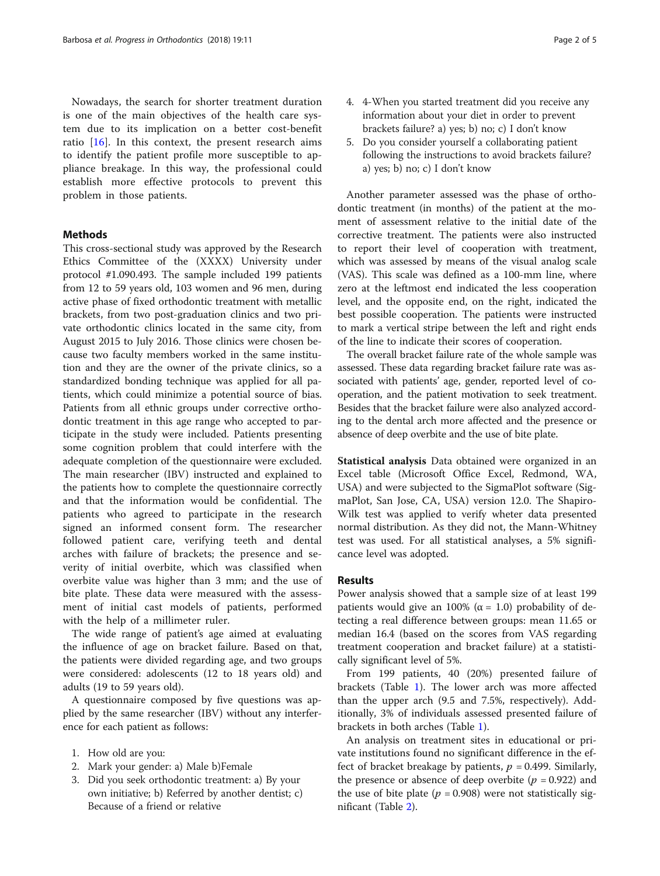Nowadays, the search for shorter treatment duration is one of the main objectives of the health care system due to its implication on a better cost-benefit ratio  $[16]$  $[16]$ . In this context, the present research aims to identify the patient profile more susceptible to appliance breakage. In this way, the professional could establish more effective protocols to prevent this problem in those patients.

# Methods

This cross-sectional study was approved by the Research Ethics Committee of the (XXXX) University under protocol #1.090.493. The sample included 199 patients from 12 to 59 years old, 103 women and 96 men, during active phase of fixed orthodontic treatment with metallic brackets, from two post-graduation clinics and two private orthodontic clinics located in the same city, from August 2015 to July 2016. Those clinics were chosen because two faculty members worked in the same institution and they are the owner of the private clinics, so a standardized bonding technique was applied for all patients, which could minimize a potential source of bias. Patients from all ethnic groups under corrective orthodontic treatment in this age range who accepted to participate in the study were included. Patients presenting some cognition problem that could interfere with the adequate completion of the questionnaire were excluded. The main researcher (IBV) instructed and explained to the patients how to complete the questionnaire correctly and that the information would be confidential. The patients who agreed to participate in the research signed an informed consent form. The researcher followed patient care, verifying teeth and dental arches with failure of brackets; the presence and severity of initial overbite, which was classified when overbite value was higher than 3 mm; and the use of bite plate. These data were measured with the assessment of initial cast models of patients, performed with the help of a millimeter ruler.

The wide range of patient's age aimed at evaluating the influence of age on bracket failure. Based on that, the patients were divided regarding age, and two groups were considered: adolescents (12 to 18 years old) and adults (19 to 59 years old).

A questionnaire composed by five questions was applied by the same researcher (IBV) without any interference for each patient as follows:

- 1. How old are you:
- 2. Mark your gender: a) Male b)Female
- 3. Did you seek orthodontic treatment: a) By your own initiative; b) Referred by another dentist; c) Because of a friend or relative
- 4. 4-When you started treatment did you receive any information about your diet in order to prevent brackets failure? a) yes; b) no; c) I don't know
- 5. Do you consider yourself a collaborating patient following the instructions to avoid brackets failure? a) yes; b) no; c) I don't know

Another parameter assessed was the phase of orthodontic treatment (in months) of the patient at the moment of assessment relative to the initial date of the corrective treatment. The patients were also instructed to report their level of cooperation with treatment, which was assessed by means of the visual analog scale (VAS). This scale was defined as a 100-mm line, where zero at the leftmost end indicated the less cooperation level, and the opposite end, on the right, indicated the best possible cooperation. The patients were instructed to mark a vertical stripe between the left and right ends of the line to indicate their scores of cooperation.

The overall bracket failure rate of the whole sample was assessed. These data regarding bracket failure rate was associated with patients' age, gender, reported level of cooperation, and the patient motivation to seek treatment. Besides that the bracket failure were also analyzed according to the dental arch more affected and the presence or absence of deep overbite and the use of bite plate.

Statistical analysis Data obtained were organized in an Excel table (Microsoft Office Excel, Redmond, WA, USA) and were subjected to the SigmaPlot software (SigmaPlot, San Jose, CA, USA) version 12.0. The Shapiro-Wilk test was applied to verify wheter data presented normal distribution. As they did not, the Mann-Whitney test was used. For all statistical analyses, a 5% significance level was adopted.

## Results

Power analysis showed that a sample size of at least 199 patients would give an 100% ( $\alpha = 1.0$ ) probability of detecting a real difference between groups: mean 11.65 or median 16.4 (based on the scores from VAS regarding treatment cooperation and bracket failure) at a statistically significant level of 5%.

From 199 patients, 40 (20%) presented failure of brackets (Table [1\)](#page-2-0). The lower arch was more affected than the upper arch (9.5 and 7.5%, respectively). Additionally, 3% of individuals assessed presented failure of brackets in both arches (Table [1](#page-2-0)).

An analysis on treatment sites in educational or private institutions found no significant difference in the effect of bracket breakage by patients,  $p = 0.499$ . Similarly, the presence or absence of deep overbite ( $p = 0.922$ ) and the use of bite plate ( $p = 0.908$ ) were not statistically significant (Table [2\)](#page-2-0).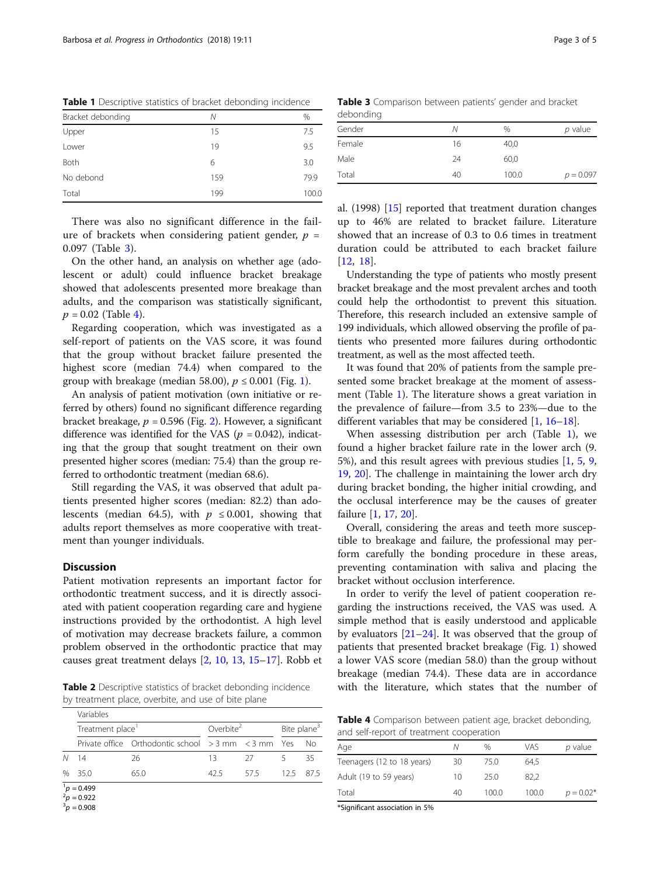<span id="page-2-0"></span>

| Bracket debonding | Ν   | %     |
|-------------------|-----|-------|
| Upper             | 15  | 7.5   |
| Lower             | 19  | 9.5   |
| Both              | 6   | 3.0   |
| No debond         | 159 | 79.9  |
| Total             | 199 | 100.0 |
|                   |     |       |

There was also no significant difference in the failure of brackets when considering patient gender,  $p =$ 0.097 (Table 3).

On the other hand, an analysis on whether age (adolescent or adult) could influence bracket breakage showed that adolescents presented more breakage than adults, and the comparison was statistically significant,  $p = 0.02$  (Table 4).

Regarding cooperation, which was investigated as a self-report of patients on the VAS score, it was found that the group without bracket failure presented the highest score (median 74.4) when compared to the group with breakage (median 58.00),  $p \le 0.001$  $p \le 0.001$  (Fig. 1).

An analysis of patient motivation (own initiative or referred by others) found no significant difference regarding bracket breakage,  $p = 0.596$  (Fig. [2\)](#page-3-0). However, a significant difference was identified for the VAS ( $p = 0.042$ ), indicating that the group that sought treatment on their own presented higher scores (median: 75.4) than the group referred to orthodontic treatment (median 68.6).

Still regarding the VAS, it was observed that adult patients presented higher scores (median: 82.2) than adolescents (median 64.5), with  $p \le 0.001$ , showing that adults report themselves as more cooperative with treatment than younger individuals.

# **Discussion**

Patient motivation represents an important factor for orthodontic treatment success, and it is directly associated with patient cooperation regarding care and hygiene instructions provided by the orthodontist. A high level of motivation may decrease brackets failure, a common problem observed in the orthodontic practice that may causes great treatment delays [[2,](#page-4-0) [10,](#page-4-0) [13](#page-4-0), [15](#page-4-0)–[17\]](#page-4-0). Robb et

Table 2 Descriptive statistics of bracket debonding incidence by treatment place, overbite, and use of bite plane

|      | Variables                          |                                                         |                       |      |                         |     |  |  |
|------|------------------------------------|---------------------------------------------------------|-----------------------|------|-------------------------|-----|--|--|
|      | Treatment place <sup>1</sup>       |                                                         | Overbite <sup>2</sup> |      | Bite plane <sup>3</sup> |     |  |  |
|      |                                    | Private office Orthodontic school $>$ 3 mm $<$ 3 mm Yes |                       |      |                         | Nο  |  |  |
| N    | 14                                 | 26                                                      | 13                    | - 27 |                         | 35  |  |  |
| $\%$ | 35.0                               | 65.0                                                    | 42.5                  | 575  | $125 -$                 | 875 |  |  |
|      | $^{1}p = 0.499$<br>$^{2}p = 0.922$ |                                                         |                       |      |                         |     |  |  |

 $\frac{2}{3}p = 0.922$ <br> $\frac{3}{9}p = 0.908$ 

Table 3 Comparison between patients' gender and bracket debonding

| .  |       |             |  |  |  |  |
|----|-------|-------------|--|--|--|--|
| Ν  | $\%$  | $p$ value   |  |  |  |  |
| 16 | 40,0  |             |  |  |  |  |
| 24 | 60,0  |             |  |  |  |  |
| 40 | 100.0 | $p = 0.097$ |  |  |  |  |
|    |       |             |  |  |  |  |

al. (1998) [[15\]](#page-4-0) reported that treatment duration changes up to 46% are related to bracket failure. Literature showed that an increase of 0.3 to 0.6 times in treatment duration could be attributed to each bracket failure [[12](#page-4-0), [18](#page-4-0)].

Understanding the type of patients who mostly present bracket breakage and the most prevalent arches and tooth could help the orthodontist to prevent this situation. Therefore, this research included an extensive sample of 199 individuals, which allowed observing the profile of patients who presented more failures during orthodontic treatment, as well as the most affected teeth.

It was found that 20% of patients from the sample presented some bracket breakage at the moment of assessment (Table 1). The literature shows a great variation in the prevalence of failure—from 3.5 to 23%—due to the different variables that may be considered [\[1](#page-4-0), [16](#page-4-0)–[18\]](#page-4-0).

When assessing distribution per arch (Table 1), we found a higher bracket failure rate in the lower arch (9. 5%), and this result agrees with previous studies [[1,](#page-4-0) [5](#page-4-0), [9](#page-4-0), [19,](#page-4-0) [20\]](#page-4-0). The challenge in maintaining the lower arch dry during bracket bonding, the higher initial crowding, and the occlusal interference may be the causes of greater failure [[1,](#page-4-0) [17](#page-4-0), [20](#page-4-0)].

Overall, considering the areas and teeth more susceptible to breakage and failure, the professional may perform carefully the bonding procedure in these areas, preventing contamination with saliva and placing the bracket without occlusion interference.

In order to verify the level of patient cooperation regarding the instructions received, the VAS was used. A simple method that is easily understood and applicable by evaluators [\[21](#page-4-0)–[24](#page-4-0)]. It was observed that the group of patients that presented bracket breakage (Fig. [1](#page-3-0)) showed a lower VAS score (median 58.0) than the group without breakage (median 74.4). These data are in accordance with the literature, which states that the number of

Table 4 Comparison between patient age, bracket debonding, and self-report of treatment cooperation

| Age                        | Ν  | $\%$  | vas   | p value     |
|----------------------------|----|-------|-------|-------------|
| Teenagers (12 to 18 years) | 30 | 75.0  | 64.5  |             |
| Adult (19 to 59 years)     | 10 | 25.0  | 82.2  |             |
| Total                      | 40 | 100.0 | 100.0 | $p = 0.02*$ |
|                            |    |       |       |             |

\*Significant association in 5%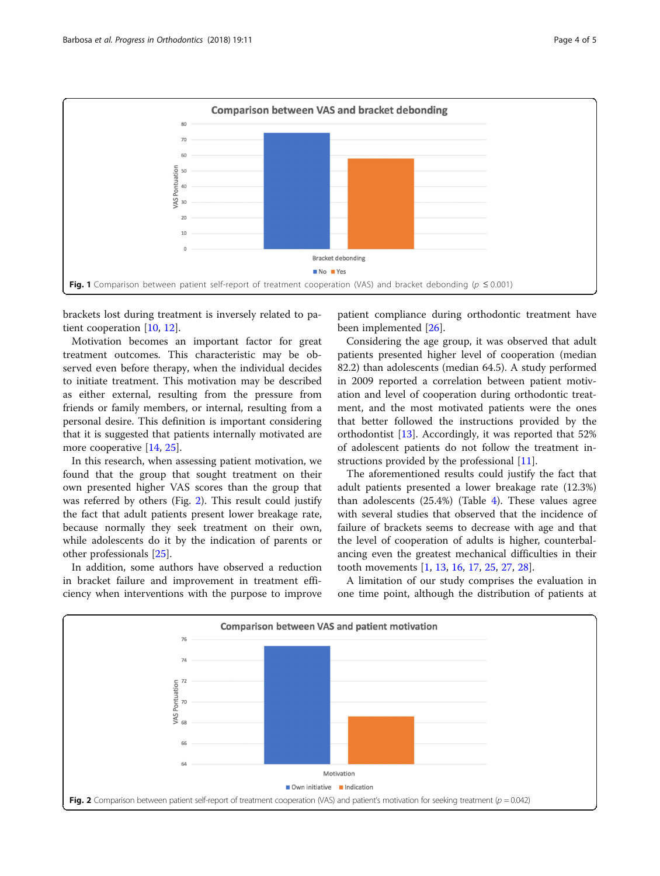<span id="page-3-0"></span>

brackets lost during treatment is inversely related to patient cooperation [\[10,](#page-4-0) [12\]](#page-4-0).

Motivation becomes an important factor for great treatment outcomes. This characteristic may be observed even before therapy, when the individual decides to initiate treatment. This motivation may be described as either external, resulting from the pressure from friends or family members, or internal, resulting from a personal desire. This definition is important considering that it is suggested that patients internally motivated are more cooperative [\[14,](#page-4-0) [25\]](#page-4-0).

In this research, when assessing patient motivation, we found that the group that sought treatment on their own presented higher VAS scores than the group that was referred by others (Fig. 2). This result could justify the fact that adult patients present lower breakage rate, because normally they seek treatment on their own, while adolescents do it by the indication of parents or other professionals [\[25\]](#page-4-0).

In addition, some authors have observed a reduction in bracket failure and improvement in treatment efficiency when interventions with the purpose to improve

patient compliance during orthodontic treatment have been implemented [[26\]](#page-4-0).

Considering the age group, it was observed that adult patients presented higher level of cooperation (median 82.2) than adolescents (median 64.5). A study performed in 2009 reported a correlation between patient motivation and level of cooperation during orthodontic treatment, and the most motivated patients were the ones that better followed the instructions provided by the orthodontist [\[13](#page-4-0)]. Accordingly, it was reported that 52% of adolescent patients do not follow the treatment instructions provided by the professional [\[11\]](#page-4-0).

The aforementioned results could justify the fact that adult patients presented a lower breakage rate (12.3%) than adolescents (25.4%) (Table [4](#page-2-0)). These values agree with several studies that observed that the incidence of failure of brackets seems to decrease with age and that the level of cooperation of adults is higher, counterbalancing even the greatest mechanical difficulties in their tooth movements [[1,](#page-4-0) [13,](#page-4-0) [16,](#page-4-0) [17,](#page-4-0) [25](#page-4-0), [27](#page-4-0), [28](#page-4-0)].

A limitation of our study comprises the evaluation in one time point, although the distribution of patients at